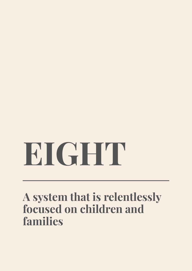# **EIGHT**

# **A system that is relentlessly focused on children and families**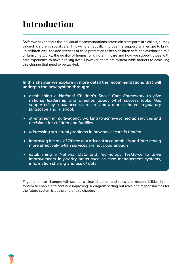# **Introduction**

So far we have set out the individual recommendations across different parts of a child's journey through children's social care. This will dramatically improve the support families get to bring up children well, the decisiveness of child protection to keep children safe, the overlooked role of family networks, the quality of homes for children in care and how we support those with care experience to have fulfilling lives. However, there are system wide barriers to achieving this change that need to be tackled.

**In this chapter we explore in more detail the recommendations that will underpin the new system through:** 

- *• establishing a National Children's Social Care Framework to give national leadership and direction about what success looks like, supported by a balanced scorecard and a more coherent regulatory landscape and rulebook*
- *• strengthening multi-agency working to achieve joined up services and decisions for children and families*
- *• addressing structural problems in how social care is funded*
- *• improving the role of Ofsted as a driver of accountability and intervening more effectively when services are not good enough*
- *• establishing a National Data and Technology Taskforce to drive improvements in priority areas such as case management systems, information sharing and use of data*

Together these changes will set out a clear direction and roles and responsibilities in the system to enable it to continue improving. A diagram setting out roles and responsibilities for the future system is at the end of this chapter.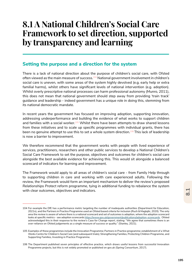## **8.1 A National Children's Social Care Framework to set direction, supported by transparency and learning**

#### **Setting the purpose and a direction for the system**

There is a lack of national direction about the purpose of children's social care, with Ofsted often viewed as the main measure of success.<sup>104</sup> National government involvement in children's social care is uneven, with some areas of the system highly devolved (e.g. early help or extra familial harms), whilst others have significant levels of national intervention (e.g. adoption). Whilst overly prescriptive national processes can harm professional autonomy (Munro, 2011), this does not mean that national government should step away from providing 'train track' guidance and leadership - indeed government has a unique role in doing this, stemming from its national democratic mandate.

In recent years the government has focused on improving adoption, supporting innovation, addressing underperformance and building the evidence of what works to support children and families with a social worker.<sup>105</sup> Whilst there have been attempts to draw shared lessons from these initiatives and to scale up specific programmes with individual grants, there has been no genuine attempt to use this to set a whole system direction.<sup>106</sup> This lack of leadership is now a barrier to improvement.

We therefore recommend that the government works with people with lived experience of services, practitioners, researchers and other public services to develop a National Children's Social Care Framework to set the purpose, objectives and outcomes for children's social care alongside the best available evidence for achieving this. This would sit alongside a balanced scorecard of indicators for learning and improvement.

The Framework would apply to all areas of children's social care - from Family Help through to supporting children in care and working with care experienced adults. Following the review, the Framework would form an important mechanism to deliver the review's proposed *Relationships Protect* reform programme, tying in additional funding to rebalance the system with clear outcomes, objectives and indicators.

<sup>104</sup> For example the DfE has a performance metric targeting the number of inadequate authorities (Department for Education, 2021n), and the Partners in Practice Programme used an Ofsted based criteria for inclusion (Ruch & Maglajlic, 2020). The only area the review is aware of where there is a national scorecard and set of outcomes is adoption, where the adoption scorecard looks at specific metrics - see adoption scorecards https://www.gov.uk/government/publications/adoption-scorecards . Ofsted acknowledged this in their response to the review's Case for Change report, stating: "*We agree that sometimes there is an over-reliance on Ofsted judgements as a single measure of success or quality*." (Stanley, 2021).

<sup>105</sup> Examples of these programmes include the Innovation Programme; Partners in Practice programme; establishment of a What Works Centre for Children's Social Care (and subsequent trials); Strengthening Families, Protecting Children Programme, and Supporting Families, Investing in Practice Programme.

<sup>106</sup> The Department published seven principles of effective practice, which draws useful lessons from successful Innovation Programme projects, but this is not widely promoted or published on gov.uk (Spring Consortium, 2017).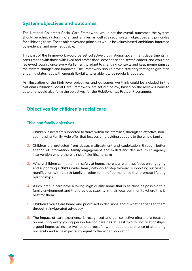## **System objectives and outcomes**

The National Children's Social Care Framework would set the overall outcomes the system should be achieving for children and families, as well as a set of system objectives and principles for achieving them. These objectives and principles would be values based, ambitious, informed by evidence, and non-negotiable.

This part of the Framework would be set collectively by national government departments, in consultation with those with lived and professional experience and sector leaders, and would be reviewed roughly once every Parliament to adapt to changing contexts and keep momentum as the system changes and improves. The Framework should have a statutory footing to give it an enduring status, but with enough flexibility to enable it to be regularly updated.

An illustration of the high level objectives and outcomes we think could be included in the National Children's Social Care Framework are set out below, based on the review's work to date and would also form the objectives for the *Relationships Protect* Programme.

#### **Objectives for children's social care**

#### **Child and family objectives**

- 1. Children in need are supported to thrive within their families, through an effective, nonstigmatising Family Help offer that focuses on providing support to the whole family
- 2. Children are protected from abuse, maltreatment and exploitation, through better sharing of information, family engagement and skilled and decisive, multi-agency intervention where there is risk of significant harm
- 3. Where children cannot remain safely at home, there is a relentless focus on engaging and supporting a child's wider family network to step forward, supporting successful reunification with a birth family or other forms of permanence that promote lifelong relationships
- 4. All children in care have a loving, high quality home that is as close as possible to a family environment and that provides stability in their local community where this is best for them
- 5. Children's voices are heard and prioritised in decisions about what happens to them through reinvigorated advocacy
- 6. The impact of care experience is recognised and our collective efforts are focused on ensuring every young person leaving care has at least two loving relationships, a good home, access to well paid purposeful work, double the chance of attending university and a life expectancy equal to the wider population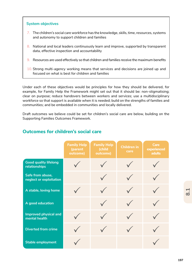#### **System objectives**

- 7. The children's social care workforce has the knowledge, skills, time, resources, systems and autonomy to support children and families
- 8. National and local leaders continuously learn and improve, supported by transparent data, effective inspection and accountability
- 9. Resources are used effectively so that children and families receive the maximum benefits
- 10. Strong multi-agency working means that services and decisions are joined up and focused on what is best for children and families

Under each of these objectives would be principles for how they should be delivered, for example, for Family Help the Framework might set out that it should be: non-stigmatising; clear on purpose; reduce handovers between workers and services; use a multidisciplinary workforce so that support is available when it is needed; build on the strengths of families and communities; and be embedded in communities and locally delivered.

Draft outcomes we believe could be set for children's social care are below, building on the Supporting Families Outcomes Framework.

|                                               | <b>Family Help</b><br>(parent<br>outcome) | <b>Family Help</b><br>(child<br>outcome) | <b>Children in</b><br>care | <b>Care</b><br>experienced<br><b>adults</b> |
|-----------------------------------------------|-------------------------------------------|------------------------------------------|----------------------------|---------------------------------------------|
| <b>Good quality lifelong</b><br>relationships |                                           |                                          |                            |                                             |
| Safe from abuse,<br>neglect or exploitation   |                                           |                                          |                            |                                             |
| A stable, loving home                         |                                           |                                          |                            |                                             |
| A good education                              |                                           |                                          |                            |                                             |
| <b>Improved physical and</b><br>mental health |                                           |                                          |                            |                                             |
| <b>Diverted from crime</b>                    |                                           |                                          |                            |                                             |
| <b>Stable employment</b>                      |                                           |                                          |                            |                                             |

#### **Outcomes for children's social care**

<u>.</u><br>დ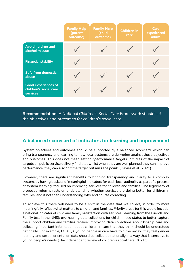|                                                                         | <b>Family Help</b><br>(parent<br>outcome) | <b>Family Help</b><br>(child<br>outcome) | <b>Children in</b><br>care | <b>Care</b><br>experienced<br><b>adults</b> |
|-------------------------------------------------------------------------|-------------------------------------------|------------------------------------------|----------------------------|---------------------------------------------|
| <b>Avoiding drug and</b><br>alcohol misuse                              |                                           |                                          |                            |                                             |
| <b>Financial stability</b>                                              |                                           |                                          |                            |                                             |
| <b>Safe from domestic</b><br>abuse                                      |                                           |                                          |                            |                                             |
| <b>Good experiences of</b><br>children's social care<br><b>services</b> |                                           |                                          |                            |                                             |

**Recommendation:** *A National Children's Social Care Framework should set the objectives and outcomes for children's social care.* 

#### **A balanced scorecard of indicators for learning and improvement**

System objectives and outcomes should be supported by a balanced scorecard, which can bring transparency and learning to how local systems are delivering against these objectives and outcomes. This does not mean setting "*performance targets*". Studies of the impact of targets on public service delivery find that whilst when they are well planned they can improve performance, they can also "*hit the target but miss the point*" (Davies et al., 2021).

However, there are significant benefits to bringing transparency and clarity to a complex system, by having baskets of meaningful indicators for each local authority as part of a process of system learning, focused on improving services for children and families. The legitimacy of proposed reforms rests on understanding whether services are doing better for children in families, and if not then understanding why and course correcting.

To achieve this there will need to be a shift in the data that we collect, in order to more meaningfully reflect what matters to children and families. Priority areas for this would include: a national indicator of child and family satisfaction with services (learning from the Friends and Family test in the NHS); overhauling data collections for child in need status to better capture the support children and families receive; improving data collections about kinship care and collecting important information about children in care that they think should be understood nationally. For example, LGBTQ+ young people in care have told the review they feel gender identity and sexual orientation data should be collected nationally in a way that is sensitive to young people's needs (The independent review of children's social care, 2021c).

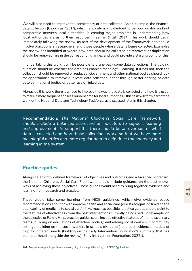We will also need to improve the consistency of data collected. As an example, the financial data collection (known as "*251*"), which is widely acknowledged to be poor quality and not comparable between local authorities, is creating major problems in understanding how local authorities are using their resources (Freeman & Gill, 2014). This work should begin immediately following the review, as part of the development of the Framework, and should involve practitioners, researchers, and those people whose data is being collected. Examples the review has identified of where new data should be collected or improved, or duplication should be removed, are in the corresponding annex and could provide a starting point for this.

In undertaking this work it will be possible to prune back some data collections. The guiding question should be whether the data has enabled meaningful learning. If it has not, then the collection should be removed or replaced. Government and other national bodies should look for opportunities to remove duplicate data collection, either through better sharing of data between national bodies or better use of linked data.

Alongside this work, there is a need to improve the way that data is collected and how it is used, to make it more frequent and less burdensome for local authorities - this task will form part of the work of the National Data and Technology Taskforce, as discussed later in this chapter.

**Recommendation:** *The National Children's Social Care Framework should include a balanced scorecard of indicators to support learning*  and improvement. To support this there should be an overhaul of what *data is collected and how those collections work, so that we have more meaningful metrics and more regular data to help drive transparency and learning in the system.* 

#### **Practice guides**

Alongside a tightly defined framework of objectives and outcomes and a balanced scorecard, the National Children's Social Care Framework should include guidance on the best known ways of achieving these objectives. These guides would need to bring together evidence and learning from research and practice.

These would take some learning from NICE guidelines, which give evidence based recommendations about how to improve health and social care (whilst recognising limits to the applicability of medicine to social care).<sup>107</sup> As much as possible, practice guides should point to the features of effectiveness from the best interventions currently being used. For example, on the objective of Family Help, practice guides could include effective features of multidisciplinary teams (building on evaluations of effective models); embedding social workers in community settings (building on the social workers in schools evaluation) and best evidenced models of help for different needs (building on the Early Intervention Foundation's summary that has been published alongside the review) (Early Intervention Foundation, 2022c).

<sup>107</sup> See, for example, https://www.nice.org.uk/guidance/published?ngt=NICE%20guidelines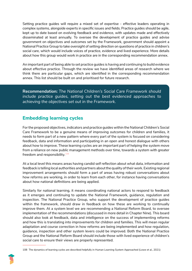Setting practice guides will require a mixed set of expertise - effective leaders operating in complex systems, alongside experts in specific issues and fields. Practice guides should be agile, kept up to date based on evolving feedback and evidence, with updates made and effectively disseminated at least annually. To oversee the development of practice guides and advise government on objectives and outcomes set by the Framework, government should appoint a National Practice Group to take oversight of setting direction on questions of practice in children's social care, which would include voices of practice, evidence and lived experience. More details about how this group would work in practice are in the corresponding recommendation annex.

An important part of being able to set practice guides is having and continuing to build evidence about effective practice. Through the review we have identified areas of research where we think there are particular gaps, which are identified in the corresponding recommendation annex. This list should be built on and prioritised for future research.

**Recommendation:** *The National Children's Social Care Framework should include practice guides, setting out the best evidenced approaches to achieving the objectives set out in the Framework.*

#### **Embedding learning cycles**

For the proposed objectives, indicators and practice guides within the National Children's Social Care Framework to be a genuine means of improving outcomes for children and families, it needs to form part of a new pattern where every part of the system is focused on considering feedback, data and information and participating in an open and honest dialogue with others about how to improve. These learning cycles are an important part of helping the system move from a reliance on new public management methods over time, towards a system with greater freedom and responsibility.<sup>108</sup>

At a local level this means areas having candid self reflection about what data, information and feedback is telling local authorities and partners about the quality of their work. Existing regional improvement arrangements should form a part of areas having robust conversations about how reforms are working, in order to learn from each other, for instance having conversations about how national definitions are being applied.

Similarly for national learning, it means coordinating national actors to respond to feedback as it emerges and continuing to update the National Framework, guidance, regulation and inspection. The National Practice Group, who support the development of practice guides within the framework, should draw in feedback on how these are working to continually improve them. At a system level we are recommending a National Reform Board, to oversee implementation of the recommendations (discussed in more detail in Chapter Nine). This board should also look at feedback, data and intelligence on the success of implementing reforms and how this is translating into improvements for children and families. This will mean regular adaptation and course correction in how reforms are being implemented and how regulation, guidance, inspection and other system levers could be improved. Both the National Practice Group and the National Reform Board should include those with lived experience of children's social care to ensure their views are properly represented.

<sup>108</sup> The dynamics of learning cycles are described helpfully in Human Learning System Approached (Lowe et al., 2021)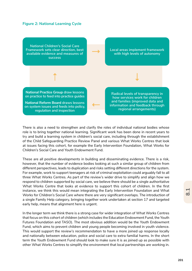#### **Figure 2: National Learning Cycle**



There is also a need to strengthen and clarify the roles of individual national bodies whose role is to bring together national learning. Significant work has been done in recent years to try and build a learning system in children's social care, including through the establishment of the Child Safeguarding Practice Review Panel and various What Works Centres that look at issues facing this cohort, for example the Early Intervention Foundation, What Works for Children's Social Care and Youth Endowment Fund.

These are all positive developments in building and disseminating evidence. There is a risk, however, that the number of evidence bodies looking at such a similar group of children from different perspectives, leads to duplication and risks setting different directions for the system. For example, work to support teenagers at risk of criminal exploitation could arguably fall to all three What Works Centres. As part of the review's wider drive to simplify and align how we respond to children supported by social care, we believe there should be a single authoritative What Works Centre that looks at evidence to support this cohort of children. In the first instance, we think this would mean integrating the Early Intervention Foundation and What Works for Children's Social Care where there are very significant overlaps. The introduction of a single Family Help category, bringing together work undertaken at section 17 and targeted early help, means that alignment here is urgent.

In the longer term we think there is a strong case for wider integration of What Works Centres that focus on this cohort of children (which includes the Education Endowment Fund, the Youth Futures Foundation and TASO). The most obvious addition would be the Youth Endowment Fund, which aims to prevent children and young people becoming involved in youth violence. This would support the review's recommendation to have a more joined up response locally and nationally between education, police and social care to extra familial harms. In the short term the Youth Endowment Fund should look to make sure it is as joined up as possible with other What Works Centres to simplify the environment that local partnerships are working in.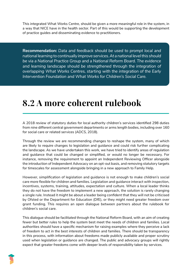This integrated What Works Centre, should be given a more meaningful role in the system, in a way that NICE have in the health sector. Part of this would be supporting the development of practice guides and disseminating evidence to practitioners.

**Recommendation:** *Data and feedback should be used to prompt local and national learning to continually improve services. At a national level this should be via a National Practice Group and a National Reform Board. The evidence*  and learning landscape should be strengthened through the integration of *overlapping What Works Centres, starting with the integration of the Early Intervention Foundation and What Works for Children's Social Care.* 

# **8.2 A more coherent rulebook**

A 2018 review of statutory duties for local authority children's services identified 298 duties from nine different central government departments or arms length bodies, including over 160 for social care or related services (ADCS, 2018).

Through the review we are recommending changes to reshape the system, many of which are likely to require changes to legislation and guidance and could risk further complicating the landscape. As we have undertaken this work, we have tried to identify areas of regulation and guidance that could be changed or simplified, or would no longer be necessary. For instance, removing the requirement to appoint an Independent Reviewing Officer alongside the introduction of Independent Advocacy on an opt-out basis, and removing statutory targets for timescales for assessment alongside bringing in a new approach to Family Help.

However, simplification of legislation and guidance is not enough to make children's social care more flexible for children and families. Legislation and guidance interact with inspection, incentives, systems, training, attitudes, expectation and culture. When a local leader thinks they do not have the freedom to implement a new approach, the solution is rarely changing a single rule. Instead it might be about a leader being confident that they will not be criticised by Ofsted or the Department for Education (DfE), or they might need greater freedom over grant funding. This requires an open dialogue between partners about the rulebook for children's social care.

This dialogue should be facilitated through the National Reform Board, with an aim of creating fewer but better rules to help the system best meet the needs of children and families. Local authorities should have a specific mechanism for raising examples where they perceive a lack of freedom to act in the best interests of children and families. There should be transparency in this process, with information about freedoms made publicly available and proper scrutiny used when legislation or guidance are changed. The public and advocacy groups will rightly expect that greater freedoms come with deeper levels of responsibility taken by services.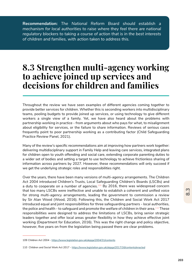**Recommendation:** *The National Reform Board should establish a mechanism for local authorities to raise where they feel there are national regulatory blockers to taking a course of action that is in the best interests of children and families, with action taken to address this.* 

## **8.3 Strengthen multi-agency working to achieve joined up services and decisions for children and families**

Throughout the review we have seen examples of different agencies coming together to provide better services for children. Whether this is seconding workers into multidisciplinary teams, pooling budgets to provide joined up services, or using technology to give different workers a single view of a family. Yet, we have also heard about the problems with partnership working in practice - from arguments about who pays for what, to misalignment about eligibility for services, or the failure to share information. Reviews of serious cases frequently point to poor partnership working as a contributing factor (Child Safeguarding Practice Review Panel, 2021).

Many of the review's specific recommendations aim at improving how partners work together: delivering multidisciplinary support in Family Help and leaving care services, integrated plans for children open to youth offending and social care, extending corporate parenting duties to a wider set of bodies and setting a target to use technology to achieve frictionless sharing of information across partners by 2027. However, these recommendations will only succeed if we get the underlying strategic roles and responsibilities right.

Over the years, there have been many versions of multi-agency arrangements. The Children Act 2004 introduced Children's Trusts, Local Safeguarding Children's Boards (LSCBs) and a duty to cooperate on a number of agencies. $109$  By 2016, there was widespread concern that too many LSCBs were ineffective and unable to establish a coherent and unified voice for strong multi-agency arrangements, leading the government to commission a review by Sir Alan Wood (Wood, 2016). Following this, the Children and Social Work Act 2017 introduced equal and joint responsibilities for three safeguarding partners - local authorities, the police and health - to safeguard and promote the welfare of children in their area.<sup>110</sup> These responsibilities were designed to address the limitations of LSCBs, bring senior strategic leaders together and offer local areas greater flexibility in how they achieve effective joint working (Department for Education, 2016). This was the right change and policy objective, however, five years on from the legislation being passed there are clear problems.

<sup>109</sup> Children Act 2004 - https://www.legislation.gov.uk/ukpga/2004/31/contents

<sup>110</sup> Children and Social Work Act 2017 - https://www.legislation.gov.uk/ukpga/2017/16/contents/enacted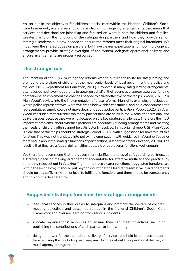As set out in the objectives for children's social care within the National Children's Social Care Framework, every area should have strong multi-agency arrangements that mean that services and decisions are joined up and focused on what is best for children and families. Greater clarity on the functions of the safeguarding partners and how they provide senior, strategic, leadership is now needed to ensure the reforms meet their original intentions. We must keep the shared duties on partners, but have clearer expectations for how multi-agency arrangements provide strategic oversight of the system, delegate operational delivery and ensure arrangements are properly resourced.

## **The strategic role**

The intention of the 2017 multi-agency reforms was to put responsibility for safeguarding and promoting the welfare of children at the most senior levels of local government, the police and the local NHS (Department for Education, 2016). However, in many safeguarding arrangements, attendees do not have the authority to speak on behalf of their agencies or agree resources (funding or otherwise) to implement the changes needed to deliver effective partnerships (Wood, 2021). Sir Alan Wood's review into the implementation of these reforms, highlights examples of delegation where police representatives were five steps below chief constables, and as a consequence the representatives simply could not make decisions about police participation (Wood, 2021). Sir Alan Wood concluded that currently too many partnerships are stuck in the weeds of operational and delivery issues because they were not focused on the key strategic challenges. Therefore the most important problems, about whether partners are adequately funding arrangements and meeting the needs of children, often cannot be satisfactorily resolved. In his original report, Sir Alan Wood is clear that partnerships should be strategic (Wood, 2016), with suggestions for how to fulfil this function. This was not translated into policy implementation (with guidance in *Working Together* more vague about the strategic functions of partnerships) (Department for Education, 2018b). The result is that they are a fudge, doing neither strategic or operational functions well enough.

We therefore recommend that the government clarifies the roles of safeguarding partners, as a strategic decision making arrangement accountable for effective multi-agency practice, by amending roles set out in *Working Together* to have clearer functions (suggested functions are within the box below). It should put beyond doubt that the lead representative in arrangements should be at a sufficiently senior level to fulfil these functions and there should be transparency about who it is delegated to.

## **Suggested strategic functions for strategic arrangements**

- lead local services in their duties to safeguard and promote the welfare of children, meeting objectives and outcomes set out in the National Children's Social Care Framework and oversee learning from serious incidents
- allocate organisations' resources to ensure they can meet objectives, including publishing the contributions of each partner to joint working
- delegate power for the operational delivery of services and hold leaders accountable for exercising this, including resolving any disputes about the operational delivery of multi-agency arrangements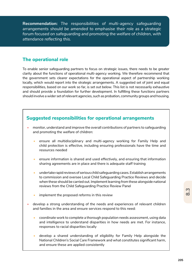**Recommendation:** *The responsibilities of multi-agency safeguarding arrangements should be amended to emphasise their role as a strategic forum focused on safeguarding and promoting the welfare of children, with attendance reflecting this.* 

#### **The operational role**

To enable senior safeguarding partners to focus on strategic issues, there needs to be greater clarity about the functions of operational multi-agency working. We therefore recommend that the government sets clearer expectations for the operational aspect of partnership working locally, which would report into the strategic arrangements. A suggested set of joint and equal responsibilities, based on our work so far, is set out below. This list is not necessarily exhaustive and should provide a foundation for further development. In fulfilling these functions partners should involve a wider set of relevant agencies, such as probation, community groups and housing.



- child protection is effective, including ensuring professionals have the time and resources needed
- ensure information is shared and used effectively, and ensuring that information sharing agreements are in place and there is adequate staff training
- undertake rapid reviews of serious child safeguarding cases. Establish arrangements to commission and oversee Local Child Safeguarding Practice Reviews and decide when these should be carried out. Implement learning from these alongside national reviews from the Child Safeguarding Practice Review Panel
- implement the proposed reforms in this review
- develop a strong understanding of the needs and experiences of relevant children and families in the area and ensure services respond to this need:
	- coordinate work to complete a thorough population needs assessment, using data and intelligence to understand disparities in how needs are met. For instance, responses to racial disparities locally
	- develop a shared understanding of eligibility for Family Help alongside the National Children's Social Care Framework and what constitutes significant harm, and ensure these are applied consistently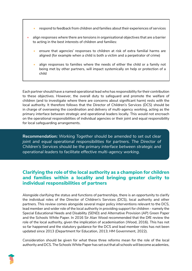- respond to feedback from children and families about their experiences of services
- align responses where there are tensions in organisational objectives that are a barrier to acting in the best interests of children and families:
	- ensure that agencies' responses to children at risk of extra familial harms are aligned (for example when a child is both a victim and a perpetrator of crime)
	- align responses to families where the needs of either the child or a family not being met by other partners, will impact systemically on help or protection of a child

Each partner should have a named operational lead who has responsibility for their contribution to these objectives. However, the overall duty to safeguard and promote the welfare of children (and to investigate where there are concerns about significant harm) rests with the local authority. It therefore follows that the Director of Children's Services (DCS) should be in charge of overseeing the coordination and delivery of multi-agency working, acting as the primary interface between strategic and operational leaders locally. This would not encroach on the operational responsibilities of individual agencies or their joint and equal responsibility for local safeguarding arrangements.

**Recommendation:** *Working Together should be amended to set out clear joint and equal operational responsibilities for partners. The Director of Children's Services should be the primary interface between strategic and operational leaders to facilitate effective multi-agency working.* 

#### **Clarifying the role of the local authority as a champion for children and families within a locality and bringing greater clarity to individual responsibilities of partners**

Alongside clarifying the status and functions of partnerships, there is an opportunity to clarify the individual roles of the Director of Children's Services (DCS), local authority and other partners. This review comes alongside several major policy interventions relevant to the DCS, lead member and wider role of the local authority in providing support for children - namely the Special Educational Needs and Disability (SEND) and Alternative Provision (AP) Green Paper and the Schools White Paper. In 2016 Sir Alan Wood recommended that the DfE review the role of the local authority, given the implication of academisation (Wood, 2016). This has not so far happened and the statutory guidance for the DCS and lead member roles has not been updated since 2013 (Department for Education, 2013; HM Government, 2022).

Consideration should be given for what these three reforms mean for the role of the local authority and DCS. The Schools White Paper has set out that all schools will become academies,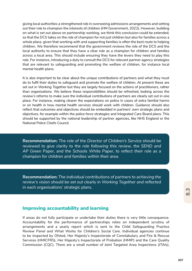giving local authorities a strengthened role in overseeing admissions arrangements and setting out their role to champion the interests of children (HM Government, 2022). However, building on what is set out above on partnership working, we think this conclusion could be extended, so that the DCS takes on the role of champion for not just children but also for families across a whole place, given that working with and supporting families is often the best route to helping children. We therefore recommend that the government reviews the role of the DCS and the local authority to ensure that they have a clear role as a champion for children and families across a local area. This should include ensuring they have the levers they need to play this role. For instance, introducing a duty to consult the DCS for relevant partner agency strategies that are relevant to safeguarding and promoting the welfare of children, for instance local mental health plans.

It is also important to be clear about the unique contributions of partners and what they must do to fulfil their duties to safeguard and promote the welfare of children. At present these are set out in *Working Together* but they are largely focused on the actions of practitioners, rather than organisations. We believe these responsibilities should be refreshed, looking across the review's reforms to make sure the individual contributions of partners are clearly set out in one place. For instance, making clearer the expectations on police in cases of extra familial harms or on health in how mental health services should work with children. Guidance should also reflect that outcomes and objectives should be embedded in partners' own strategic plans and objectives, for example within the police force strategies and Integrated Care Board plans. This should be supported by the national leadership of partner agencies, like NHS England or the National Police Chiefs Council.

**Recommendation:** *The role of the Director of Children's Service should be reviewed to give clarity to the role following this review, the SEND and AP Green Paper, and the Schools White Paper, to reflect their role as a champion for children and families within their area.* 

**Recommendation:** *The individual contributions of partners to achieving the review's vision should be set out clearly in Working Together and reflected in each organisations' strategic plans.* 

#### **Improving accountability and learning**

If areas do not fully participate or undertake their duties there is very little consequence. Accountability for the performance of partnerships relies on independent scrutiny of arrangements and a yearly report which is sent to the Child Safeguarding Practice Review Panel and What Works for Children's Social Care. Individual agencies continue to be inspected by Ofsted, Her Majesty's Inspectorate of Constabulary and Fire & Rescue Services (HMICFRS), Her Majesty's Inspectorate of Probation (HMIP) and the Care Quality Commission (CQC). There are a small number of Joint Targeted Area Inspections (JTAIs),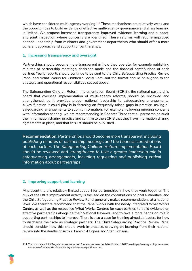which have considered multi-agency working.<sup>111</sup> These mechanisms are relatively weak and the opportunities to build evidence of effective multi-agency governance and share learning is limited. We propose increased transparency, improved evidence, learning and support, and joint inspection where concerns are identified. These reforms will require improved national leadership from ministers and government departments who should offer a more coherent approach and support for partnerships.

#### **1. Increasing transparency and oversight**

Partnerships should become more transparent in how they operate, for example publishing minutes of partnership meetings, decisions made and the financial contributions of each partner. Yearly reports should continue to be sent to the Child Safeguarding Practice Review Panel and What Works for Children's Social Care, but the format should be aligned to the strategic and operational responsibilities set out above.

The Safeguarding Children Reform Implementation Board (SCRIB), the national partnership board that oversees implementation of multi-agency reforms, should be reviewed and strengthened, so it provides proper national leadership to safeguarding arrangements. A key function it could play is in focusing on frequently raised gaps in practice, asking all safeguarding arrangements to submit information. For example, following ongoing concerns with information sharing, we are recommending in Chapter Three that all partnerships audit their information sharing practice and confirm to the SCRIB that they have information sharing agreements in place, and that this list should be published.

**Recommendation:** *Partnerships should become more transparent, including publishing minutes of partnership meetings and the financial contributions of each partner. The Safeguarding Children Reform Implementation Board should be reviewed and strengthened to take a greater leadership role in safeguarding arrangements, including requesting and publishing critical information about partnerships.* 

#### **2. Improving support and learning**

At present there is relatively limited support for partnerships in how they work together. The bulk of the DfE's improvement activity is focused on the contributions of local authorities, and the Child Safeguarding Practice Review Panel generally makes recommendations at a national level. We therefore recommend that the Panel works with the newly integrated What Works Centre, as well as the respective What Works Centres for each partner, to build evidence on effective partnerships alongside their National Reviews, and to take a more hands on role in supporting partnerships to improve. There is also a case for training aimed at leaders for how to discharge their role as strategic partners. The Child Safeguarding Practice Review Panel should consider how this should work in practice, drawing on learning from their national review into the deaths of Arthur Labinjo-Hughes and Star Hobson.

<sup>111</sup> The most recent Joint Targeted Areas Inspection Frameworks were published in March 2022: see https://www.gov.uk/government/ news/new-frameworks-for-joint-targeted-area-inspections-jtais

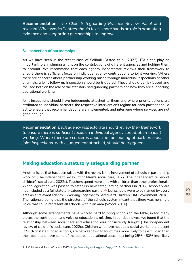**Recommendation:** *The Child Safeguarding Practice Review Panel and relevant What Works Centres should take a more hands on role in promoting evidence and supporting partnerships to improve.*

#### **3. Inspection of partnerships**

As we have seen in the recent case of Solihull (Ofsted et al., 2022), JTAIs can play an important role in shining a light on the contributions of different agencies and holding them to account. We recommend that each agency inspectorate reviews their framework to ensure there is sufficient focus on individual agency contributions to joint working. Where there are concerns about partnership working raised through individual inspections or other channels, a joint follow up inspection should be triggered. These should be risk based and focused both on the role of the statutory safeguarding partners and how they are supporting operational working.

Joint inspections should have judgements attached to them and where priority actions are attributed to individual partners, the respective interventions regime for each partner should act to ensure that recommendations are implemented, and intervene where services are not good enough.

**Recommendation:** *Each agency inspectorate should review their framework to ensure there is sufficient focus on individual agency contribution to joint working. Where there are concerns about the functioning of partnerships, joint inspections, with a judgement attached, should be triggered.*

#### **Making education a statutory safeguarding partner**

Another issue that has been raised with the review is the involvement of schools in partnership working (The independent review of children's social care, 2022; The independent review of children's social care, 2022c). Teachers spend more time with children than other professionals. When legislation was passed to establish new safeguarding partners in 2017, schools were not included as a full statutory safeguarding partner<sup>112</sup> but schools were to be named by every area as a "*relevant agency*" (Working Together to Safeguard Children, HM Government, 2018). The rationale being that the structure of the schools system meant that there was no single voice that could represent all schools within an area (Wood, 2016).

Although some arrangements have worked hard to bring schools to the table, in too many places the contribution and voice of education is missing. In our deep dives, we found that the relationship between social care and education was consistently fraught (The independent review of children's social care, 2022c). Children who have needed a social worker are present in 98% of state funded schools, are between two to four times more likely to be excluded than their peers and have some of the poorest educational outcomes; being 25% - 50% less likely

<sup>112</sup> Children and Social Work Act 2017 - https://www.legislation.gov.uk/ukpga/2017/16/contents/enacted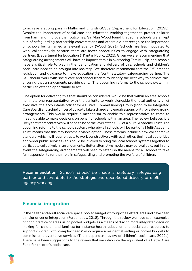to achieve a strong pass in Maths and English GCSEs (Department for Education, 2019b). Despite the importance of social care and education working together to protect children from harm and improve their outcomes, Sir Alan Wood found that some schools were 'kept out' of safeguarding partnership conversations and others did not recognise the importance of schools being named a relevant agency (Wood, 2021). Schools are less motivated to work collaboratively because there are fewer opportunities to engage with safeguarding partners (Department for Education & Kantar Public, 2021). Given we are recommending that safeguarding arrangements will have an important role in overseeing Family Help, and schools have a critical role to play in the identification and delivery of this, schools and children's social care need to be brought into lockstep. We therefore recommend that the DfE amends legislation and guidance to make education the fourth statutory safeguarding partner. The DfE should work with social care and school leaders to identify the best way to achieve this, ensuring that arrangements provide clarity. The upcoming reforms to the schools system, in particular, offer an opportunity to act.

One option for delivering this that should be considered, would be that within an area schools nominate one representative, with the seniority to work alongside the local authority chief executive, the accountable officer for a Clinical Commissioning Group (soon to be Integrated Care Board) and a chief officer of police to take a shared and equal responsibility for safeguarding arrangements. This would require a mechanism to enable this representative to come to meetings able to make decisions on behalf of schools within an area. The review believes it is likely that representatives will need to be at the level of the CEO of a Multi-Academy Trust. The upcoming reforms to the schools system, whereby all schools will be part of a Multi-Academy Trust, means that this may become a viable option. These reforms include a new collaborative standard, which will require trusts to work constructively with each other, their local authorities and wider public services - this could be invoked to bring the local schools systems together to participate collectively in arrangements. Better alternative models may be available, but in any event the safeguarding arrangements will need to establish the means for all schools to take full responsibility for their role in safeguarding and promoting the welfare of children.

**Recommendation:** *Schools should be made a statutory safeguarding partner and contribute to the strategic and operational delivery of multiagency working.* 

## **Financial integration**

In the health and adult social care space, pooled budgets through the Better Care Fund have been a major driver of integration (Forder et al., 2018). Through the review we have seen examples of good practice of areas using pooled budgets as a means of driving more integrated decision making for children and families: for instance health, education and social care resources to support children with 'complex needs' who require a residential setting or pooled budgets to commission preventative services (The independent review of children's social care, 2022c). There have been suggestions to the review that we introduce the equivalent of a Better Care Fund for children's social care.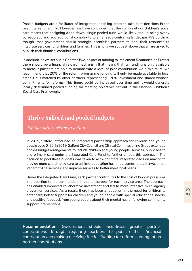Pooled budgets are a facilitator of integration, enabling areas to take joint decisions in the best interest of a child. However, we have concluded that the complexity of children's social care means that designing a top down, single pooled fund would likely end up being overly bureaucratic and add additional complexity to an already confusing landscape. We do think, though, that government should strongly incentivise partners to pool their resources to integrate services for children and families. This is why we suggest above that all are asked to publish their financial contributions.

In addition, as we set out in Chapter Two, as part of funding to implement *Relationships Protect* there should be a financial reward mechanism that means that full funding is only available to areas if partners are able to demonstrate a level of joint contribution. As a minimum, we recommend that 20% of the reform programme funding will only be made available to local areas if it is matched by other partners, representing 120% investment and shared financial commitments for reforms. This figure could be increased over time and it would generate locally determined pooled funding for meeting objectives set out in the National Children's Social Care Framework.

## **Thrive Salford and pooled budgets**

*Partnership working in action*

In 2015, Salford introduced an integrated partnership approach for children and young people aged 0-25. In 2019, Salford City Council and Clinical Commissioning Group extended pooled budget arrangements to include children and young people, services, public health and primary care under the Integrated Care Fund to further embed this approach. The decision to pool these budgets was taken to allow for more integrated decision making to provide more coordinated care to achieve population health outcomes; protect investment into front-line services; and improve services to better meet local needs.

Under the Integrated Care Fund, each partner contributes to the cost of budget pressures in proportion to the contributions made to the pool for each service area. The approach has enabled improved collaborative investment and led to more intensive multi-agency prevention services. As a result, there has been a reduction in the need for children to enter care; better support for children and young people with special educational needs; and positive feedback from young people about their mental health following community support interventions.

**Recommendation:** *Government should incentivise greater partner contributions through requiring partners to publish their financial contribution and making receiving the full funding for reform contingent on partner contributions.*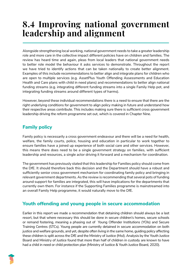# **8.4 Improving national government leadership and alignment**

Alongside strengthening local working, national government needs to take a greater leadership role and more care in the collective impact different policies have on children and families. The review has heard time and again, pleas from local leaders that national government needs to better role model the behaviour it asks services to demonstrate. Throughout the report we have tried to identify actions that can be taken nationally to create better alignment. Examples of this include recommendations to better align and integrate plans for children who are open to multiple services (e.g. AssetPlus Youth Offending Assessments and Education Health and Care plans with child in need plans) and recommendations to better align national funding streams (e.g. integrating different funding streams into a single Family Help pot, and integrating funding streams around different types of harms).

However, beyond these individual recommendations there is a need to ensure that there are the right underlying conditions for government to align policy making in future and understand how their respective areas contribute. This includes making sure there is sufficient cross government leadership driving the reform programme set out, which is covered in Chapter Nine.

## **Family policy**

Family policy is necessarily a cross government endeavour and there will be a need for health, welfare, the family courts, police, housing and education in particular to work together to ensure families have a joined up experience of both social care and other services. However, this means there does need to be a single government strategy on families, with sufficient leadership and resources, a single actor driving it forward and a mechanism for coordination.

The government has previously stated that this leadership for Families policy should come from the DfE. It should therefore back this decision and the Department should have a robust and sufficiently senior cross government mechanism for coordinating family policy and bringing in relevant government departments. As the review is recommending that several pots of funding around support for families are integrated, this will have implications for the departments that currently own them. For instance if the Supporting Families programme is mainstreamed into an overall Family Help programme, it would naturally move to the DfE.

## **Youth offending and young people in secure accommodation**

Earlier in this report we made a recommendation that detaining children should always be a last resort, but that where necessary this should be done in secure children's homes, secure schools or remand fostering, meaning a phasing out of Young Offender Institutions (YOIs) and Secure Training Centres (STCs). Young people are currently detained in secure accommodation on both justice and welfare grounds, and yet, despite often living in the same home, guiding policy affecting these children is split across the DfE and the Ministry of Justice (MoJ). Analysis by the Youth Justice Board and Ministry of Justice found that more than half of children in custody are known to have had a child in need or child protection plan (Ministry of Justice & Youth Justice Board, 2020).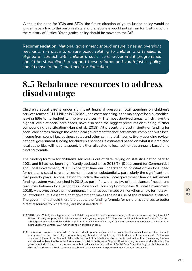Without the need for YOIs and STCs, the future direction of youth justice policy would no longer have a link to the prison estate and the rationale would not remain for it sitting within the Ministry of Justice. Youth justice policy should be moved to the DfE.

**Recommendation:** *National government should ensure it has an oversight mechanism in place to ensure policy relating to children and families is aligned in contact with children's social care. Government programmes should be streamlined to support these reforms and youth justice policy should move to the Department for Education.*

## **8.5 Rebalance resources to address disadvantage**

Children's social care is under significant financial pressure. Total spending on children's services reached £11.1 billion in 2020/21, and costs are rising in the majority of local authorities, leaving little to no budget to improve services.<sup>113</sup> The most deprived areas, which have the highest levels of social care needs, have also seen the biggest pressures on funding, further compounding this situation (Harris et al., 2019). At present, the vast majority of funding for social care comes through the wider local government finance settlement, combined with local income from council tax, business rates and other commercial income. Every spending review, national government funding for children's services is estimated based on what it is predicted local authorities will need to spend, it is then allocated to local authorities annually based on a funding formula.

The funding formula for children's services is out of date, relying on statistics dating back to 2001 and it has not been significantly updated since 2013/14 (Department for Communities and Local Government, 2013). Since that time our understanding of what drives local need for children's social care services has moved on substantially, particularly the significant role that poverty plays. A consultation to update the overall local government finance settlement funding system was launched in 2018 as part of a wider review of the balance of needs and resources between local authorities (Ministry of Housing Communities & Local Government, 2018). However, since then no announcement has been made on if or when a new formula will be introduced. It is essential that government makes the best use of the resources available. The government should therefore update the funding formula for children's services to better direct resources to where they are most needed. $114$ 

<sup>113</sup> S251 data - This figure is higher than the £10 billion quoted in the executive summary, as it also includes spending lines 3.4.5 Universal family support, 3.5.1 Universal services for young people, 3.0.1 Spend on individual Sure Start Children's Centres, 3.0.2 Spend for services delivered through Sure Start Children's Centres, 3.0.3 Spend on management costs relating to Sure Start Children's Centres, 3.0.4 Other spend on children under 5.

<sup>114</sup> The review recognises that children's services don't operate in isolation from wider local services. However, the timetable of any wider reforms to local government funding should not delay the urgent introduction of the new children's formula. The new children's formula should take better account of deprivation and other contextual factors than the existing formula, and should replace it in the wider formula used to distribute Revenue Support Grant funding between local authorities. The government should also use the new formula to allocate the proportion of Social Care Grant funding that is intended for children's services, as this is currently distributed based solely on the pattern of need for adult social care.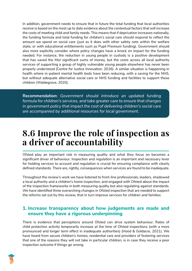In addition, government needs to ensure that in future the total funding that local authorities receive is based on the most up to date evidence about the contextual factors that will increase the costs of meeting child and family needs. This means that if deprivation increases nationally, the funding formula and total funding for children's social care should respond to reflect the amount we spend on social care (just as it does with other safety nets within the welfare state, or with educational entitlements such as Pupil Premium funding). Government should also more explicitly consider where policy changes have a knock on impact for the funding needed. For instance, the reduction in young people in custody is a positive development that has saved the MoJ significant sums of money, but the costs across all local authority services of supporting a group of highly vulnerable young people elsewhere has never been properly understood (Centre for Justice Innovation, 2016). A similar situation is happening in health where in-patient mental health beds have been reducing, with a saving for the NHS, but without adequate alternative social care or NHS funding and facilities to support these children (Waldegrave, 2020).

**Recommendation:** *Government should introduce an updated funding formula for children's services, and take greater care to ensure that changes in government policy that impact the cost of delivering children's social care are accompanied by additional resources for local government.* 

# **8.6 Improve the role of inspection as a driver of accountability**

Ofsted play an important role in measuring quality and what they focus on becomes a significant driver of behaviour. Inspection and regulation is an important and necessary lever for holding services to account and regulation is crucial for ensuring compliance with clearly defined standards. There are, rightly, consequences when services are found to be inadequate.

Throughout the review's work we have listened to front-line professionals, leaders, shadowed a local authority and a children's home inspection, and engaged with Ofsted about the impact of the inspection frameworks in both measuring quality but also regulating against standards. We have identified three overarching changes in Ofsted inspection that are needed to support the reforms set out by this review, that in turn improve services for children and families:

#### **1. Increase transparency about how judgements are made and ensure they have a rigorous underpinning**

There is evidence that perceptions around Ofsted can drive system behaviour. Rates of child protection activity temporarily increase at the time of Ofsted inspections (with a more pronounced and longer term effect in inadequate authorities) (Hood & Goldacre, 2021). We have heard from secure children's homes, residential care and providers of fostering services that one of the reasons they will not take in particular children, is in case they receive a poor inspection outcome if things go wrong.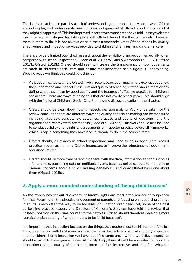This is driven, at least in part, by a lack of understanding and transparency about what Ofsted are looking for, and professionals seeking to second guess what Ofsted is looking for or what they might disapprove of. This has improved in recent years and areas have told us they welcome the more regular dialogue that takes place with Ofsted through the ILACS channels. However, there is more to do. It is not always clear in their frameworks what Ofsted means by quality, effectiveness and impact of services provided to children and families, and children in care.

There is also very limited published research about the reliability of inspection (especially when compared with school inspections) (Hood et al, 2019; Wilkins & Antonopoulou, 2020; Ofsted 2017b; Ofsted, 2019b). Ofsted should seek to increase the transparency of how judgements are made in children's social care and ensure that inspection has a rigorous underpinning. Specific ways we think this could be achieved:

- As it does in schools, where Ofsted have in recent years been much more explicit about how they understand and inspect curriculum and quality of teaching, Ofsted should more clearly define what they mean by good quality and the features of effective practice for children's social care. There are ways of doing this that are not overly prescriptive. This should align with the National Children's Social Care Framework, discussed earlier in the chapter.
- Ofsted should be clear about how it inspects decision making. Work undertaken for the review concluded there are different ways the quality of decision making can be measured including accuracy, consistency, outcomes, practice and equity of decisions, and the organisational context they are made in (Hood et al., 2022b). This work should also be used to conduct validity and reliability assessments of inspector practice across all frameworks, which is again something they have begun already to do in the schools remit.
- Ofsted should, as it does in school inspections and used to do in social care, recruit practice leaders as standing Ofsted Inspectors to improve the robustness of judgements and dispel myths.
- Ofsted should be more transparent in general with the data, information and tools it holds - for example, publishing data on notifiable events (such as police callouts to the home or "*serious concerns about a child's missing behaviour*") and what Ofsted has done about them (Ofsted, 2018c).

#### **2. Apply a more rounded understanding of 'being child focused'**

As the review has set out elsewhere, children's rights are most often realised through their families. Focusing on the effective engagement of parents and focusing on supporting change in adults is very often the way to be focussed on what children need. Yet, some of the best performing practice leaders and Directors of Children's Services have told the review that Ofsted's position on this runs counter to their efforts. Ofsted should therefore develop a more rounded understanding of what it means to be 'child focussed'.

It is important that inspection focuses on the things that matter most to children and families. Through engaging with local areas and shadowing an Inspection of a local authority inspection and a children's home inspection we have identified some areas where we believe inspection should expand to have greater focus. At Family Help, there should be a greater focus on the proportionality and quality of the help children and families receive, and therefore what the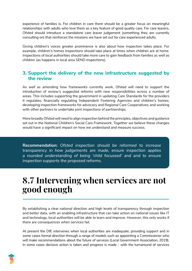experience of families is. For children in care there should be a greater focus on meaningful relationships with adults who love them as a key feature of good quality care. For care leavers, Ofsted should introduce a standalone care leaver judgement (something they are currently consulting on) that reinforces the missions we have set out for care experienced adults.

Giving children's voices greater prominence is also about how inspection takes place. For example, children's homes inspections should take place at times when children are at home. Inspections of local authorities should take more care to gain feedback from families as well as children (as happens in local area SEND inspections).

#### **3. Support the delivery of the new infrastructure suggested by the review**

As well as amending how frameworks currently work, Ofsted will need to support the introduction of review's suggested reforms with new responsibilities across a number of areas. This includes supporting the government in updating Care Standards for the providers it regulates; financially regulating Independent Fostering Agencies and children's homes; developing inspection frameworks for advocacy and Regional Care Cooperatives; and working with other partners to undertake joint inspections of partnerships.

More broadly Ofsted will need to align inspection behind the principles, objectives and guidance set out in the National Children's Social Care Framework. Together we believe these changes would have a significant impact on how we understand and measure success.

**Recommendation:** *Ofsted inspection should be reformed to increase transparency in how judgements are made, ensure inspection applies a rounded understanding of being 'child focussed' and and to ensure inspection supports the proposed reforms.* 

# **8.7 Intervening when services are not good enough**

By establishing a clear national direction and high levels of transparency through inspection and better data, with an enabling infrastructure that can take action on national issues like IT and technology, local authorities will be able to learn and improve. However, this only works if there are consequences when services fail.

At present the DfE intervenes when local authorities are inadequate, providing support and in some cases formal direction through a range of models such as appointing a Commissioner who will make recommendations about the future of services (Local Government Association, 2019). In some cases decisive action is taken and progress is made - with the turnaround of services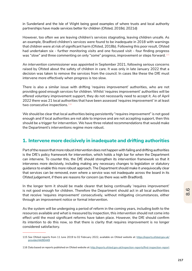in Sunderland and the Isle of Wight being good examples of where trusts and local authority partnerships have made services better for children (Ofsted, 2018d, 2021d)

However, too often we are leaving children's services stagnating, leaving children unsafe. As an example, Bradford children's services were found to be inadequate in 2018 with warnings that children were at risk of significant harm (Ofsted, 2018b). Following this poor result, Ofsted had undertaken six - further monitoring visits and one focused visit - four finding progress was "*slow*" and three commenting on only "*some*" progress, improvement or steps forward.115

An intervention commissioner was appointed in September 2021, following serious concerns raised by Ofsted about the safety of children in care. It was only in late January 2022 that a decision was taken to remove the services from the council. In cases like these the DfE must intervene more effectively when progress is too slow.

There is also a similar issue with drifting 'requires improvement' authorities, who are not providing good enough services for children. Whilst 'requires improvement' authorities will be offered voluntary improvement support, they do not necessarily need to accept it. As of April 2022 there was 21 local authorities that have been assessed 'requires improvement' in at least two consecutive inspections.<sup>116</sup>

We should be clear that local authorities being persistently "*requires improvement*" is not good enough and if local authorities are not able to improve and are not accepting support, then this should be a trigger for intervention. We have three related recommendations that would make the Department's interventions regime more robust.

#### **1. Intervene more decisively in inadequate and drifting authorities**

Part of the reason that more robust intervention does not happen with failing and drifting authorities is the DfE's policy framework for intervention, which holds a high bar for when the Department can intervene. To counter this, the DfE should strengthen its intervention framework so that it intervenes more decisively, including making any necessary changes to legislation or statutory guidance to enable this more robust approach. The Department should make it unequivocally clear that services can be removed, even where a service was not inadequate across the board in its Ofsted judgement, if there are reasons for concern (as there was with Bradford).

In the longer term it should be made clearer that being continually 'requires improvement' is not good enough for children. Therefore the Department should act in all local authorities that receive 'requires improvement' consecutively, without mitigating circumstances, either through an improvement notice or formal intervention.

As the system will be undergoing a period of reform in the coming years, including both to the resources available and what is measured by inspection, this intervention should not come into effect until the most significant reforms have taken place. However, the DfE should confirm its intention to do this now, so that there is clarity that requires improvement is no longer considered satisfactory.

<sup>115</sup> See Ofsted reports from 11 June 2019 to 02 February 2022, available on Ofsted website at: https://reports.ofsted.gov.uk/ provider/44/80449

<sup>116</sup> Data based on reports published on Ofsted website at: http://reports.ofsted.gov.uk/inspection-reports/find-inspection-report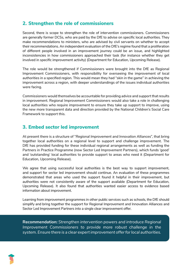#### **2. Strengthen the role of commissioners**

Second, there is scope to strengthen the role of intervention commissioners. Commissioners are generally former DCSs, who are paid by the DfE to advise on specific local authorities. They make recommendations to ministers, who are advised by civil servants on whether to accept their recommendations. An independent evaluation of the DfE's regime found that a proliferation of different people involved in an improvement journey could be an issue, and highlighted inconsistencies in how commissioners approached their task (for instance whether they get involved in specific improvement activity) (Department for Education, Upcoming Release).

The role would be strengthened if Commissioners were brought into the DfE as Regional Improvement Commissioners, with responsibility for overseeing the improvement of local authorities in a specified region. This would mean they had "*skin in the game*" in achieving the improvement across a region, with deeper understandings of the issues individual authorities were facing.

Commissioners would themselves be accountable for providing advice and support that results in improvement. Regional Improvement Commissioners would also take a role in challenging local authorities who require improvement to ensure they take up support to improve, using the new more transparent data and direction provided by the National Children's Social Care Framework to support this.

#### **3. Embed sector led improvement**

At present there is a structure of "*Regional Improvement and Innovation Alliances*", that bring together local authorities on a regional level to support and challenge improvement. The DfE has provided funding for these individual regional arrangements as well as funding the Partners in Practice Programme (now Sector Led Improvement Partners), which funds 'good' and 'outstanding' local authorities to provide support to areas who need it (Department for Education, Upcoming Release).

We agree that using successful local authorities is the best way to support improvement, and support for sector led improvement should continue. An evaluation of these programmes demonstrated that areas who used the support found it helpful in their improvement, but authorities were not consistently aware of the support available (Department for Education, Upcoming Release). It also found that authorities wanted easier access to evidence based information about improvement.

Learning from improvement programmes in other public services such as schools, the DfE should simplify and bring together the support for Regional Improvement and Innovation Alliances and Sector Led Improvement Partners into a single clear improvement offer.

**Recommendation:** *Strengthen intervention powers and introduce Regional Improvement Commissioners to provide more robust challenge in the system. Ensure there is a clear expert improvement offer for local authorities.* 

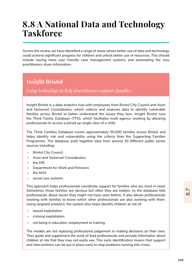# **8.8 A National Data and Technology Taskforce**

Across the review we have identified a range of areas where better use of data and technology could achieve significant progress for children and unlock better use of resources. This should include having more user friendly case management systems and automating the way practitioners share information.

## **Insight Bristol**

*Using technology to help practitioners support families* 

Insight Bristol is a data analytics hub with employees from Bristol City Council and Avon and Somerset Constabulary, which collects and analyses data to identify vulnerable families across Bristol to better understand the issues they face. Insight Bristol runs the Think Family Database (TFD), which facilitates multi-agency working by allowing professionals to access a joined up single view of a child.

The Think Families Database covers approximately 50,000 families across Bristol and helps identify risk and vulnerability using the criteria from the Supporting Families Programme. The database pulls together data from around 30 different public sector sources including:

- **Bristol City Council**
- Avon and Somerset Constabulary
- the DfE
- Department for Work and Pensions
- the NHS
- social care systems

This approach helps professionals coordinate support for families who are most in need. Sometimes those families are obvious but often they are hidden, so the database tells professionals about issues they might not have seen before. It also allows professionals working with families to know which other professionals are also working with them. Using targeted analytics, the system also helps identify children at risk of:

- sexual exploitation
- criminal exploitation
- not being in education, employment or training

The models are not replacing professional judgement or making decisions on their own. They guide and supplement the work of lead professionals and provide information about children at risk that they may not easily see. This early identification means that support and interventions can be put in place early to stop problems turning into crises.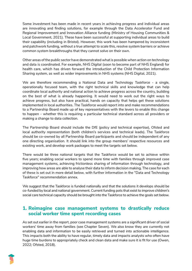Some investment has been made in recent years in achieving progress and individual areas are innovating and finding solutions, for example through the Data Accelerator Fund and Regional Improvement and Innovation Alliance funding (Ministry of Housing Communities & Local Government, 2021). These have been successful at supporting individual areas to build their capability (including in Bristol). However, this work has been hampered by inconsistent and patchwork funding, without a true attempt to scale this, resolve system barriers or achieve common system breakthroughs that they cannot solve on their own.

Other areas of the public sector have demonstrated what is possible when action on technology and data is coordinated. For example, NHS Digital (soon to become part of NHS England) for health care, which has driven forward the introduction of the Child Protection Information Sharing system, as well as wider improvements in NHS systems (NHS Digital, 2021).

We are therefore recommending a National Data and Technology Taskforce - a single, operationally focused team, with the right technical skills and knowledge that can help coordinate local authority and national action to achieve progress across the country, building on the best of what is already happening. It would need to work out the right ways to achieve progress, but also have practical, hands on capacity that helps get these solutions implemented in local authorities. The Taskforce would report into and make recommendations to a Partnership Board made up of key representatives with the levers to enable this change to happen - whether this is requiring a particular technical standard across all providers or making a change to data collection.

The Partnership Board should include the DfE (policy and technical expertise), Ofsted and local authority representation (both children's services and technical leads). The Taskforce should be co-owned by all Partnership Board participants and should be independent of any one directing organisation. It should link into the group members' respective resources and existing work, and develop work packages to meet the targets set below.

There would be three national targets that the Taskforce would be set to achieve within five years; enabling social workers to spend more time with families through improved case management systems, achieving frictionless sharing of information through technology, and improving how areas are able to analyse their data to inform decision making. The case for each of these is set out in more detail below, with further information in the "Data and Technology Taskforce" recommendation annex.

We suggest that the Taskforce is funded nationally and that the solutions it develops should be co-funded by local and national government. Current funding pots that exist to improve children's social care technical capacity should be brought into the Taskforce to achieve the goals set below.

#### **1. Reimagine case management systems to drastically reduce social worker time spent recording cases**

As set out earlier in the report, poor case management systems are a significant driver of social workers' time away from families (see Chapter Seven). We also know they are currently not enabling data and information to be easily retrieved and turned into actionable intelligence. This impacts both the ability to have regular, timely data and impacts analysts who often have huge time burdens to appropriately check and clean data and make sure it is fit for use (Owen, 2022; Ofsted, 2018).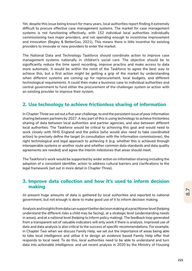Yet, despite this issue being known for many years, local authorities report finding it extremely difficult to procure effective case management systems. The market for case management systems is not functioning effectively, with 152 individual local authorities individually commissioning two major providers, and not spending enough to incentivise improvement and innovation (Begley & BetterGov, 2021). This means there is little incentive for existing providers to innovate or new providers to enter the market.

The National Data and Technology Taskforce should coordinate action to improve case management systems nationally in children's social care. The objective should be to significantly reduce the time spent recording, improve practice and make access to data more automatic. It would be within the remit of the Taskforce to agree the best way to achieve this, but a first action might be getting a grip of the market by understanding when different systems are coming up for reprocurement, local budgets, and different technological requirements. It could then make a business case to individual authorities and central government to fund either the procurement of the challenger system or action with an existing provider to improve their system.

#### **2. Use technology to achieve frictionless sharing of information**

In Chapter Three we set out a five year challenge, to end the persistent issue of poor information sharing between partners by 2027. A key part of this is using technology to achieve frictionless sharing of data between local authorities and partner agencies, and also between different local authorities. The Taskforce would be critical to achieving this goal and would need to work closely with NHS England and the police (who would also need to take coordinated action) to precisely define the target (in consultation with the information commissioner), the right technological and legal approach to achieving it (e.g. whether this is achieved through interoperable systems or another route and whether common data standards and data quality agreements are needed) and agree the interim milestones that areas should meet.

The Taskforce's work would be supported by wider action on information sharing including the adoption of a consistent identifier, action to address cultural barriers and clarifications to the legal framework (set out in more detail in Chapter Three).

#### **3. Improve data collection and how it's used to inform decision making**

At present huge amounts of data is gathered by local authorities and reported to national government, but not enough is done to make good use of it to inform decision making.

Analysis and insights from data can support better decision making at a practitioner level (helping understand the different risks a child may be facing), at a strategic level (understanding needs in areas), and at a national level (helping to inform policy making). The feedback loop generated from a transparent set of valuable indicators will only work if there is analysis. Improved use of data and data analysis is also critical to the success of specific recommendations. For example, in Chapter Two when we discuss Family Help, we set out the importance of areas being able to take local intelligence and utilise it to design an evidence based Family Help offer that responds to local need. To do this, local authorities need to be able to understand and turn data into actionable intelligence, and yet recent analysis in 2020 by the Ministry of Housing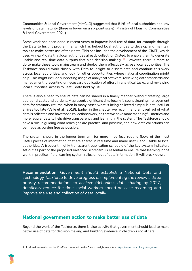Communities & Local Government (MHCLG) suggested that 81% of local authorities had low levels of data maturity (three or lower on a six point scale) (Ministry of Housing Communities & Local Government, 2021).

Some work has been done in recent years to improve local use of data, for example through the Data to Insight programme, which has helped local authorities to develop and maintain tools to make better use of their data. This has included the development of the 'ChAT', which uses Annex A data that local authorities already collect for Ofsted, to enable them to generate usable and real time data outputs that aids decision making.<sup>117</sup> However, there is more to do to make these tools mainstream and deploy them effectively across local authorities. The Taskforce should work closely with Data to Insight to disseminate and continue this work across local authorities, and look for other opportunities where national coordination might help. This might include supporting usage of analytical software, reviewing data standards and management, preventing unnecessary duplication of effort in analytical tasks, and reviewing local authorities' access to useful data held by DfE.

There is also a need to ensure data can be shared in a timely manner, without creating large additional costs and burdens. At present, significant time locally is spent cleaning management data for statutory returns, when in many cases what is being collected simply is not useful or arrives too late (Valle et al., 2019). Earlier in the chapter we recommend an overhaul of what data is collected and how those collections work, so that we have more meaningful metrics and more regular data to help drive transparency and learning in the system. The Taskforce should have a role in guiding what redesigns are practical and possible, and how data collections can be made as burden free as possible.

The system should in the longer term aim for more imperfect, routine flows of the most useful pieces of information, that are shared in real time and made useful and usable to local authorities. A frequent, highly transparent publication schedule of the key system indicators set out as part of the proposed balanced scorecard, is essential to ensure that learning loops work in practice. If the learning system relies on out of data information, it will break down.

**Recommendation:** *Government should establish a National Data and Technology Taskforce to drive progress on implementing the review's three priority recommendations to achieve frictionless data sharing by 2027, drastically reduce the time social workers spend on case recording and improve the use and collection of data locally.* 

#### **National government action to make better use of data**

Beyond the work of the Taskforce, there is also activity that government should lead to make better use of data for decision making and building evidence in children's social care.

<sup>117</sup> More information on the ChAT can be found on the Data to Insight website - https://www.datatoinsight.org/tools

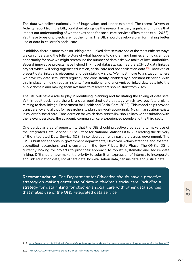The data we collect nationally is of huge value, and under explored. The recent Drivers of Activity report from the DfE, published alongside the review, has very significant findings that impact our understanding of what drives need for social care services (Fitzsimons et al., 2022). Yet, these types of projects are not the norm. The DfE should develop a plan for making better use of data in children's social care.

In addition, there is more to do on linking data. Linked data sets are one of the most efficient ways we can understand the fuller picture of what happens to children and families and holds a huge opportunity for how we might streamline the number of data asks we make of local authorities. Several innovative projects have helped link novel datasets, such as the ECHILD data linkage project which will bring together education, social care and hospitalisation data.118 However, at present data linkage is piecemeal and painstakingly slow. We must move to a situation where we have key data sets linked regularly and consistently, enabled by a constant identifier. With this in place, bringing regular insights from national and anonymised linked data sets into the public domain and making them available to researchers should start from 2025.

The DfE will have a role to play in identifying, planning and facilitating the linking of data sets. Within adult social care there is a clear published data strategy which lays out future plans relating to data linkage (Department for Health and Social Care, 2022). This model helps provide transparency and allows for researchers to plan their work accordingly. No similar strategy exists in children's social care. Consideration for which data sets to link should involve consultation with the relevant services, the academic community, care experienced people and the third sector.

One particular area of opportunity that the DfE should proactively pursue is to make use of the Integrated Data Service.<sup>119</sup> The Office for National Statistics (ONS) is leading the delivery of the Integrated Data Service (IDS) in collaboration with partners across government. The IDS is built for analysts in government departments, Devolved Administrations and external accredited researchers, and is currently in the New Private Beta Phase. The ONS's IDS is currently looking for projects to pilot their approach to robust, systematic and secure data linking. DfE should now make it a priority to submit an expression of interest to incorporate and link education data, social care data, hospitalisation data, census data and justice data.

**Recommendation:** *The Department for Education should have a proactive strategy on making better use of data in children's social care, including a strategy for data linking for children's social care with other data sources that makes use of the ONS integrated data service.* 

<sup>118</sup> https://www.ucl.ac.uk/child-health/research/population-policy-and-practice-research-and-teaching-department/cenb-clinical-20

<sup>119</sup> https://www.gov.uk/service-standard-reports/integrated-data-service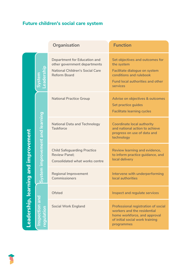## **Future children's social care system**

|                                          |                                  | Organisation                                                                                                                         | <b>Function</b>                                                                                                                                                  |
|------------------------------------------|----------------------------------|--------------------------------------------------------------------------------------------------------------------------------------|------------------------------------------------------------------------------------------------------------------------------------------------------------------|
| ing and improvement<br>Leadership, learr | Leadershi<br>System              | <b>Department for Education and</b><br>other government departments<br><b>National Children's Social Care</b><br><b>Reform Board</b> | Set objectives and outcomes for<br>the system<br>Facilitate dialogue on system<br>conditions and rulebook<br><b>Fund local authorities and other</b><br>services |
|                                          | System improvement and learning  | <b>National Practice Group</b>                                                                                                       | Advise on objectives & outcomes<br>Set practice guides<br><b>Facilitate learning cycles</b>                                                                      |
|                                          |                                  | <b>National Data and Technology</b><br><b>Taskforce</b>                                                                              | <b>Coordinate local authority</b><br>and national action to achieve<br>progress on use of data and<br>technology                                                 |
|                                          |                                  | <b>Child Safeguarding Practice</b><br><b>Review Panel:</b><br><b>Consolidated what works centre</b>                                  | Review learning and evidence,<br>to inform practice guidance, and<br>local delivery                                                                              |
|                                          |                                  | <b>Regional Improvement</b><br>Commissioners                                                                                         | Intervene with underperforming<br>local authorities                                                                                                              |
|                                          | nspection and<br><b>nonation</b> | <b>Ofsted</b>                                                                                                                        | Inspect and regulate services                                                                                                                                    |
|                                          |                                  | <b>Social Work England</b>                                                                                                           | <b>Professional registration of social</b><br>workers and the residential<br>home workforce, and approval<br>of initial social work training<br>programmes       |